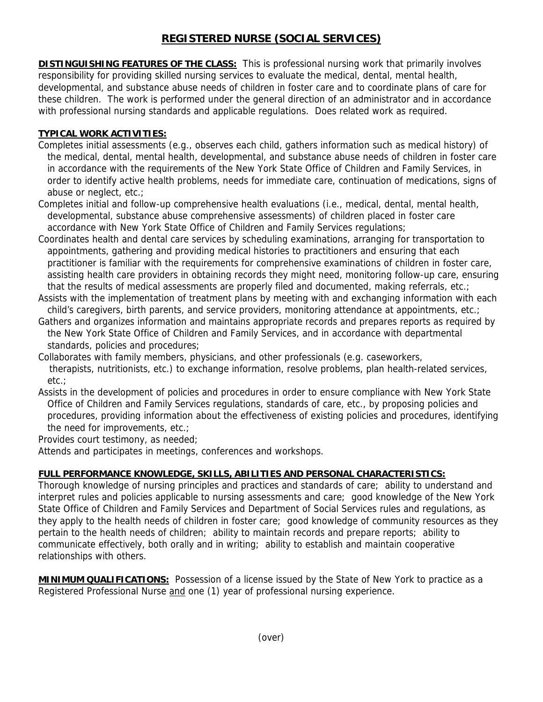## **REGISTERED NURSE (SOCIAL SERVICES)**

**DISTINGUISHING FEATURES OF THE CLASS:** This is professional nursing work that primarily involves responsibility for providing skilled nursing services to evaluate the medical, dental, mental health, developmental, and substance abuse needs of children in foster care and to coordinate plans of care for these children. The work is performed under the general direction of an administrator and in accordance with professional nursing standards and applicable regulations. Does related work as required.

## **TYPICAL WORK ACTIVITIES:**

Completes initial assessments (e.g., observes each child, gathers information such as medical history) of the medical, dental, mental health, developmental, and substance abuse needs of children in foster care in accordance with the requirements of the New York State Office of Children and Family Services, in order to identify active health problems, needs for immediate care, continuation of medications, signs of abuse or neglect, etc.;

Completes initial and follow-up comprehensive health evaluations (i.e., medical, dental, mental health, developmental, substance abuse comprehensive assessments) of children placed in foster care accordance with New York State Office of Children and Family Services regulations;

- Coordinates health and dental care services by scheduling examinations, arranging for transportation to appointments, gathering and providing medical histories to practitioners and ensuring that each practitioner is familiar with the requirements for comprehensive examinations of children in foster care, assisting health care providers in obtaining records they might need, monitoring follow-up care, ensuring that the results of medical assessments are properly filed and documented, making referrals, etc.;
- Assists with the implementation of treatment plans by meeting with and exchanging information with each child's caregivers, birth parents, and service providers, monitoring attendance at appointments, etc.;
- Gathers and organizes information and maintains appropriate records and prepares reports as required by the New York State Office of Children and Family Services, and in accordance with departmental standards, policies and procedures;

Collaborates with family members, physicians, and other professionals (e.g. caseworkers, therapists, nutritionists, etc.) to exchange information, resolve problems, plan health-related services, etc.;

Assists in the development of policies and procedures in order to ensure compliance with New York State Office of Children and Family Services regulations, standards of care, etc., by proposing policies and procedures, providing information about the effectiveness of existing policies and procedures, identifying the need for improvements, etc.;

Provides court testimony, as needed;

Attends and participates in meetings, conferences and workshops.

## **FULL PERFORMANCE KNOWLEDGE, SKILLS, ABILITIES AND PERSONAL CHARACTERISTICS:**

Thorough knowledge of nursing principles and practices and standards of care; ability to understand and interpret rules and policies applicable to nursing assessments and care; good knowledge of the New York State Office of Children and Family Services and Department of Social Services rules and regulations, as they apply to the health needs of children in foster care; good knowledge of community resources as they pertain to the health needs of children; ability to maintain records and prepare reports; ability to communicate effectively, both orally and in writing; ability to establish and maintain cooperative relationships with others.

**MINIMUM QUALIFICATIONS:** Possession of a license issued by the State of New York to practice as a Registered Professional Nurse and one (1) year of professional nursing experience.